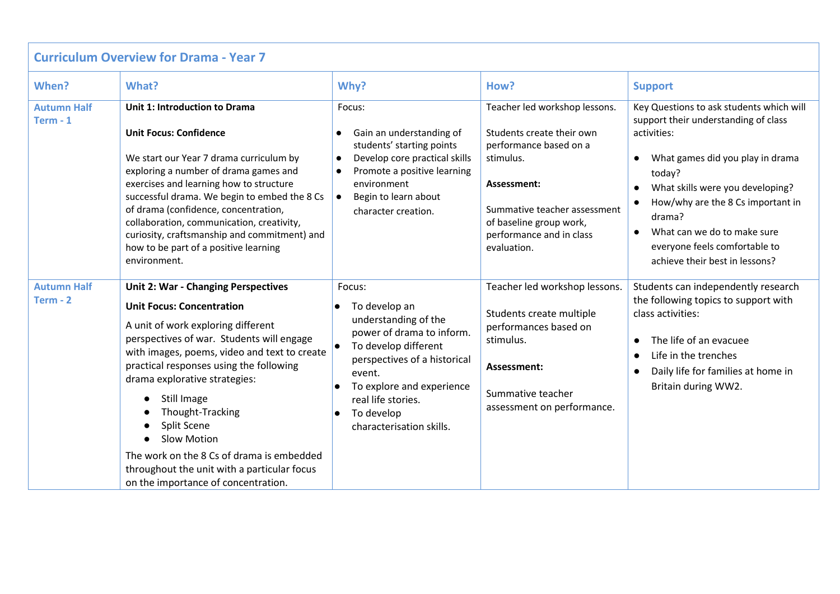| <b>Curriculum Overview for Drama - Year 7</b> |                                                                                                                                                                                                                                                                                                                                                                                                                                                                                                          |                                                                                                                                                                                                                                                          |                                                                                                                                                                                                                        |                                                                                                                                                                                                                                                                                                                                                                           |  |  |  |
|-----------------------------------------------|----------------------------------------------------------------------------------------------------------------------------------------------------------------------------------------------------------------------------------------------------------------------------------------------------------------------------------------------------------------------------------------------------------------------------------------------------------------------------------------------------------|----------------------------------------------------------------------------------------------------------------------------------------------------------------------------------------------------------------------------------------------------------|------------------------------------------------------------------------------------------------------------------------------------------------------------------------------------------------------------------------|---------------------------------------------------------------------------------------------------------------------------------------------------------------------------------------------------------------------------------------------------------------------------------------------------------------------------------------------------------------------------|--|--|--|
| When?                                         | What?                                                                                                                                                                                                                                                                                                                                                                                                                                                                                                    | Why?                                                                                                                                                                                                                                                     | How?                                                                                                                                                                                                                   | <b>Support</b>                                                                                                                                                                                                                                                                                                                                                            |  |  |  |
| <b>Autumn Half</b><br>$Term - 1$              | Unit 1: Introduction to Drama<br><b>Unit Focus: Confidence</b><br>We start our Year 7 drama curriculum by<br>exploring a number of drama games and<br>exercises and learning how to structure<br>successful drama. We begin to embed the 8 Cs<br>of drama (confidence, concentration,<br>collaboration, communication, creativity,<br>curiosity, craftsmanship and commitment) and<br>how to be part of a positive learning<br>environment.                                                              | Focus:<br>Gain an understanding of<br>$\bullet$<br>students' starting points<br>Develop core practical skills<br>$\bullet$<br>Promote a positive learning<br>environment<br>Begin to learn about<br>$\bullet$<br>character creation.                     | Teacher led workshop lessons.<br>Students create their own<br>performance based on a<br>stimulus.<br>Assessment:<br>Summative teacher assessment<br>of baseline group work,<br>performance and in class<br>evaluation. | Key Questions to ask students which will<br>support their understanding of class<br>activities:<br>What games did you play in drama<br>$\bullet$<br>today?<br>What skills were you developing?<br>$\bullet$<br>How/why are the 8 Cs important in<br>drama?<br>What can we do to make sure<br>$\bullet$<br>everyone feels comfortable to<br>achieve their best in lessons? |  |  |  |
| <b>Autumn Half</b><br>$Term - 2$              | <b>Unit 2: War - Changing Perspectives</b><br><b>Unit Focus: Concentration</b><br>A unit of work exploring different<br>perspectives of war. Students will engage<br>with images, poems, video and text to create<br>practical responses using the following<br>drama explorative strategies:<br>Still Image<br>Thought-Tracking<br>Split Scene<br><b>Slow Motion</b><br>The work on the 8 Cs of drama is embedded<br>throughout the unit with a particular focus<br>on the importance of concentration. | Focus:<br>To develop an<br>understanding of the<br>power of drama to inform.<br>To develop different<br>perspectives of a historical<br>event.<br>To explore and experience<br>real life stories.<br>To develop<br>$\bullet$<br>characterisation skills. | Teacher led workshop lessons.<br>Students create multiple<br>performances based on<br>stimulus.<br>Assessment:<br>Summative teacher<br>assessment on performance.                                                      | Students can independently research<br>the following topics to support with<br>class activities:<br>The life of an evacuee<br>$\bullet$<br>Life in the trenches<br>$\bullet$<br>Daily life for families at home in<br>$\bullet$<br>Britain during WW2.                                                                                                                    |  |  |  |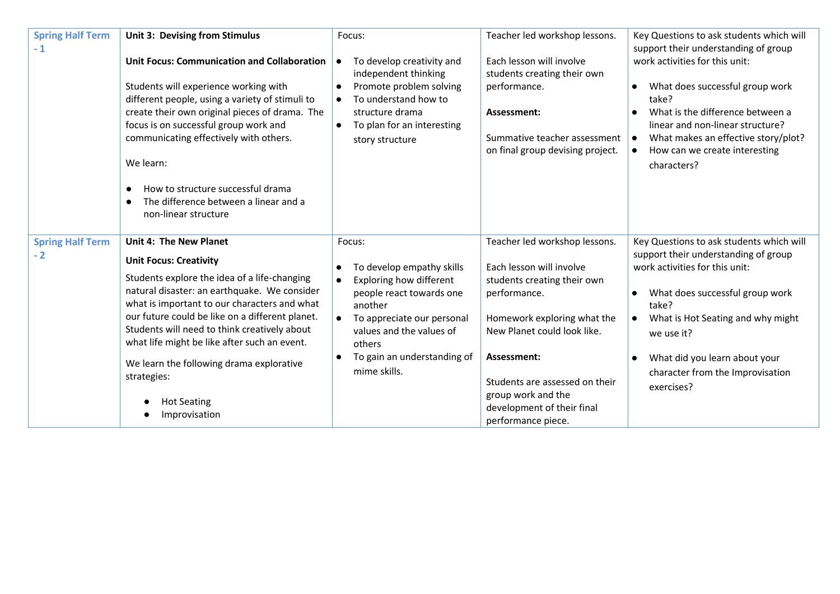| <b>Spring Half Term</b><br>$-1$ | Unit 3: Devising from Stimulus                                                                                                                                                                                                                                                                                                                                                                                                                                      | Focus:                                                                                                                                                                                                                                                          | Teacher led workshop lessons.                                                                                                                                                                                                                                                                     | Key Questions to ask students which will<br>support their understanding of group                                                                                                                                                                                                                                                            |
|---------------------------------|---------------------------------------------------------------------------------------------------------------------------------------------------------------------------------------------------------------------------------------------------------------------------------------------------------------------------------------------------------------------------------------------------------------------------------------------------------------------|-----------------------------------------------------------------------------------------------------------------------------------------------------------------------------------------------------------------------------------------------------------------|---------------------------------------------------------------------------------------------------------------------------------------------------------------------------------------------------------------------------------------------------------------------------------------------------|---------------------------------------------------------------------------------------------------------------------------------------------------------------------------------------------------------------------------------------------------------------------------------------------------------------------------------------------|
|                                 | <b>Unit Focus: Communication and Collaboration</b><br>Students will experience working with<br>different people, using a variety of stimuli to<br>create their own original pieces of drama. The<br>focus is on successful group work and<br>communicating effectively with others.<br>We learn:<br>How to structure successful drama<br>$\bullet$<br>The difference between a linear and a<br>$\bullet$<br>non-linear structure                                    | To develop creativity and<br>$\bullet$<br>independent thinking<br>Promote problem solving<br>$\bullet$<br>To understand how to<br>$\bullet$<br>structure drama<br>To plan for an interesting<br>$\bullet$<br>story structure                                    | Each lesson will involve<br>students creating their own<br>performance.<br>Assessment:<br>Summative teacher assessment<br>on final group devising project.                                                                                                                                        | work activities for this unit:<br>What does successful group work<br>$\bullet$<br>take?<br>What is the difference between a<br>linear and non-linear structure?<br>What makes an effective story/plot?<br>$\bullet$<br>How can we create interesting<br>characters?                                                                         |
| <b>Spring Half Term</b><br>$-2$ | <b>Unit 4: The New Planet</b><br><b>Unit Focus: Creativity</b><br>Students explore the idea of a life-changing<br>natural disaster: an earthquake. We consider<br>what is important to our characters and what<br>our future could be like on a different planet.<br>Students will need to think creatively about<br>what life might be like after such an event.<br>We learn the following drama explorative<br>strategies:<br><b>Hot Seating</b><br>Improvisation | Focus:<br>To develop empathy skills<br>$\bullet$<br>Exploring how different<br>people react towards one<br>another<br>To appreciate our personal<br>$\bullet$<br>values and the values of<br>others<br>To gain an understanding of<br>$\bullet$<br>mime skills. | Teacher led workshop lessons.<br>Each lesson will involve<br>students creating their own<br>performance.<br>Homework exploring what the<br>New Planet could look like.<br>Assessment:<br>Students are assessed on their<br>group work and the<br>development of their final<br>performance piece. | Key Questions to ask students which will<br>support their understanding of group<br>work activities for this unit:<br>What does successful group work<br>$\bullet$<br>take?<br>What is Hot Seating and why might<br>$\bullet$<br>we use it?<br>What did you learn about your<br>$\bullet$<br>character from the Improvisation<br>exercises? |